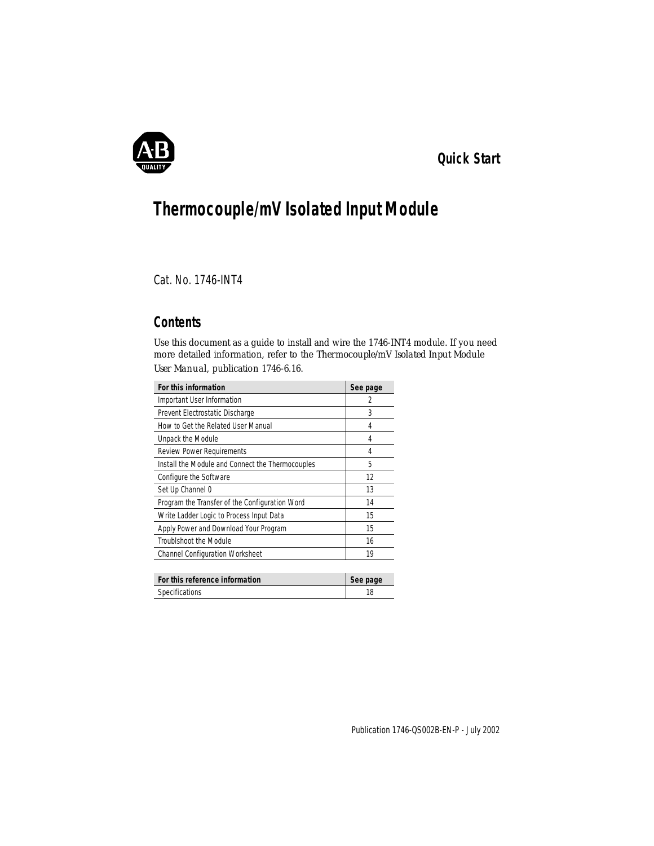

## *Quick Start*

# **Thermocouple/mV Isolated Input Module**

Cat. No. 1746-INT4

## **Contents**

Use this document as a guide to install and wire the 1746-INT4 module. If you need more detailed information, refer to the *Thermocouple/mV Isolated Input Module User Manual*, publication 1746-6.16.

| For this information                             | See page |
|--------------------------------------------------|----------|
| Important User Information                       | 2        |
| Prevent Electrostatic Discharge                  | 3        |
| How to Get the Related User Manual               | 4        |
| Unpack the Module                                | 4        |
| <b>Review Power Requirements</b>                 | 4        |
| Install the Module and Connect the Thermocouples | 5        |
| Configure the Software                           | 12       |
| Set Up Channel 0                                 | 13       |
| Program the Transfer of the Configuration Word   | 14       |
| Write Ladder Logic to Process Input Data         | 15       |
| Apply Power and Download Your Program            | 15       |
| TroubIshoot the Module                           | 16       |
| <b>Channel Configuration Worksheet</b>           | 19       |
|                                                  |          |

| For this reference information | See page |
|--------------------------------|----------|
| Specifications                 |          |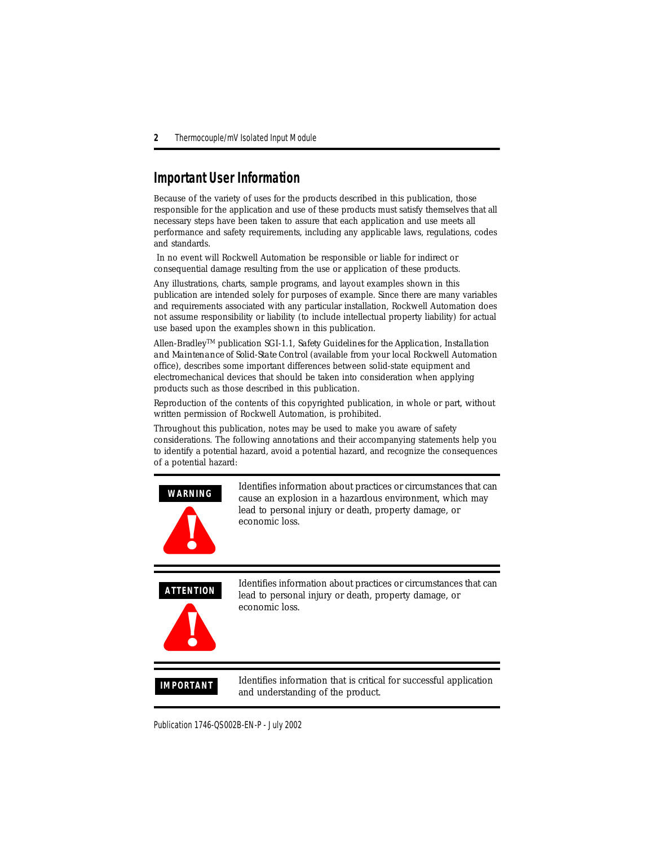## <span id="page-1-0"></span>**Important User Information**

Because of the variety of uses for the products described in this publication, those responsible for the application and use of these products must satisfy themselves that all necessary steps have been taken to assure that each application and use meets all performance and safety requirements, including any applicable laws, regulations, codes and standards.

 In no event will Rockwell Automation be responsible or liable for indirect or consequential damage resulting from the use or application of these products.

Any illustrations, charts, sample programs, and layout examples shown in this publication are intended solely for purposes of example. Since there are many variables and requirements associated with any particular installation, Rockwell Automation does not assume responsibility or liability (to include intellectual property liability) for actual use based upon the examples shown in this publication.

Allen-BradleyTM publication SGI-1.1, *Safety Guidelines for the Application, Installation and Maintenance of Solid-State Control* (available from your local Rockwell Automation office), describes some important differences between solid-state equipment and electromechanical devices that should be taken into consideration when applying products such as those described in this publication.

Reproduction of the contents of this copyrighted publication, in whole or part, without written permission of Rockwell Automation, is prohibited.

Throughout this publication, notes may be used to make you aware of safety considerations. The following annotations and their accompanying statements help you to identify a potential hazard, avoid a potential hazard, and recognize the consequences of a potential hazard:

#### **WARNING**



Identifies information about practices or circumstances that can cause an explosion in a hazardous environment, which may lead to personal injury or death, property damage, or economic loss.

**ATTENTION**



Identifies information about practices or circumstances that can lead to personal injury or death, property damage, or economic loss.

**IMPORTANT** Identifies information that is critical for successful application and understanding of the product.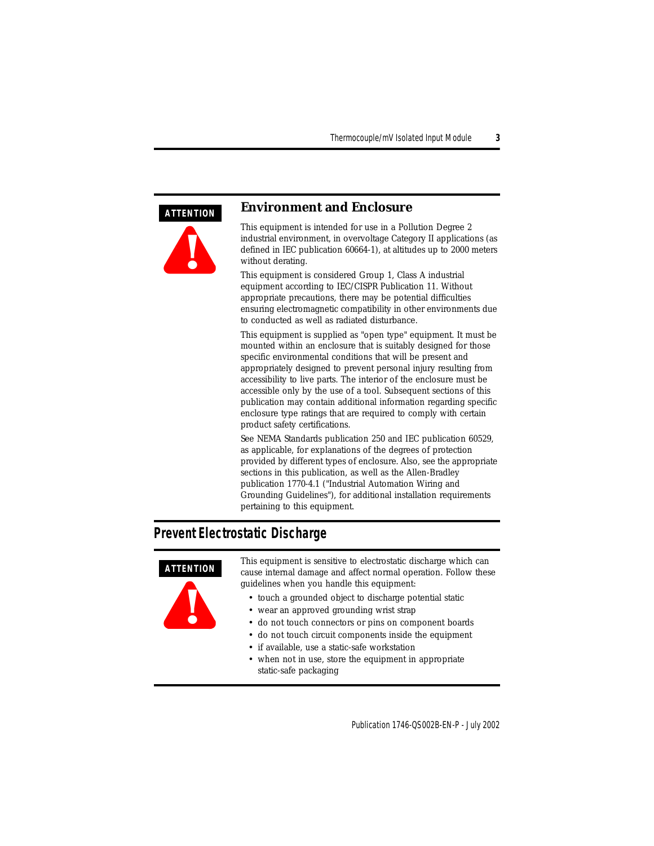#### <span id="page-2-0"></span>**ATTENTION**



#### **Environment and Enclosure**

This equipment is intended for use in a Pollution Degree 2 industrial environment, in overvoltage Category II applications (as defined in IEC publication 60664-1), at altitudes up to 2000 meters without derating.

This equipment is considered Group 1, Class A industrial equipment according to IEC/CISPR Publication 11. Without appropriate precautions, there may be potential difficulties ensuring electromagnetic compatibility in other environments due to conducted as well as radiated disturbance.

This equipment is supplied as "open type" equipment. It must be mounted within an enclosure that is suitably designed for those specific environmental conditions that will be present and appropriately designed to prevent personal injury resulting from accessibility to live parts. The interior of the enclosure must be accessible only by the use of a tool. Subsequent sections of this publication may contain additional information regarding specific enclosure type ratings that are required to comply with certain product safety certifications.

See NEMA Standards publication 250 and IEC publication 60529, as applicable, for explanations of the degrees of protection provided by different types of enclosure. Also, see the appropriate sections in this publication, as well as the Allen-Bradley publication 1770-4.1 ("Industrial Automation Wiring and Grounding Guidelines"), for additional installation requirements pertaining to this equipment.

### **Prevent Electrostatic Discharge**

# **ATTENTION**



This equipment is sensitive to electrostatic discharge which can cause internal damage and affect normal operation. Follow these guidelines when you handle this equipment:

- touch a grounded object to discharge potential static
- wear an approved grounding wrist strap
- do not touch connectors or pins on component boards
- do not touch circuit components inside the equipment
- if available, use a static-safe workstation
- when not in use, store the equipment in appropriate static-safe packaging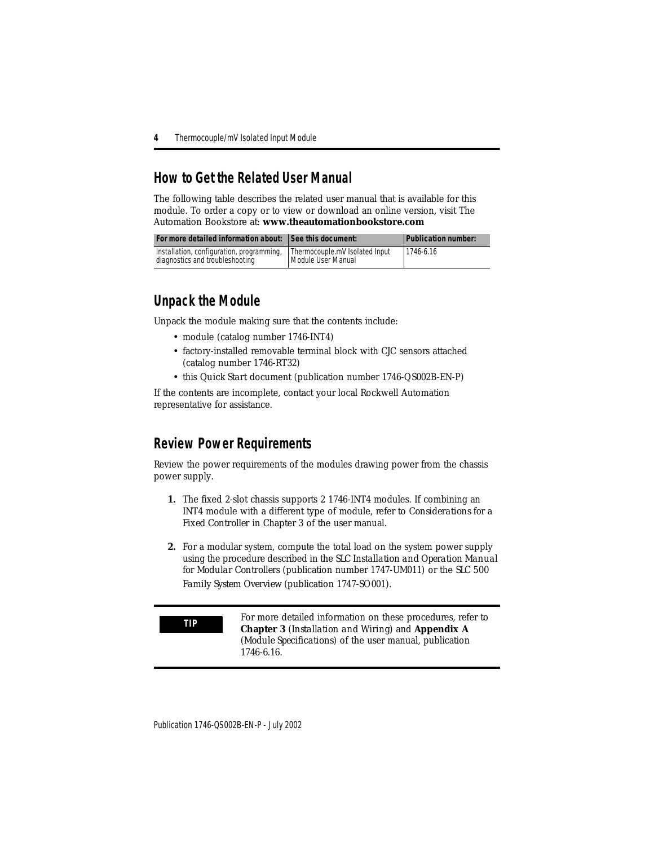## <span id="page-3-0"></span>**How to Get the Related User Manual**

The following table describes the related user manual that is available for this module. To order a copy or to view or download an online version, visit The Automation Bookstore at: **www.theautomationbookstore.com**

| For more detailed information about: See this document:                      |                                                      | <b>Publication number:</b> |
|------------------------------------------------------------------------------|------------------------------------------------------|----------------------------|
| Installation, configuration, programming,<br>diagnostics and troubleshooting | Thermocouple.mV Isolated Input<br>Module User Manual | 1746-6.16                  |

## <span id="page-3-1"></span>**Unpack the Module**

Unpack the module making sure that the contents include:

- module (catalog number 1746-INT4)
- factory-installed removable terminal block with CJC sensors attached (catalog number 1746-RT32)
- this *Quick Start* document (publication number 1746-QS002B-EN-P)

If the contents are incomplete, contact your local Rockwell Automation representative for assistance.

## <span id="page-3-2"></span>**Review Power Requirements**

Review the power requirements of the modules drawing power from the chassis power supply.

- **1.** The fixed 2-slot chassis supports 2 1746-INT4 modules. If combining an INT4 module with a different type of module, refer to *Considerations for a Fixed Controller* in Chapter 3 of the user manual.
- **2.** For a modular system, compute the total load on the system power supply using the procedure described in the *SLC Installation and Operation Manual for Modular Controllers* (publication number 1747-UM011) or the *SLC 500 Family System Overview* (publication 1747-SO001).

**TIP** For more detailed information on these procedures, refer to **Chapter 3** (*Installation and Wiring*) and **Appendix A** (*Module Specifications*) of the user manual, publication 1746-6.16.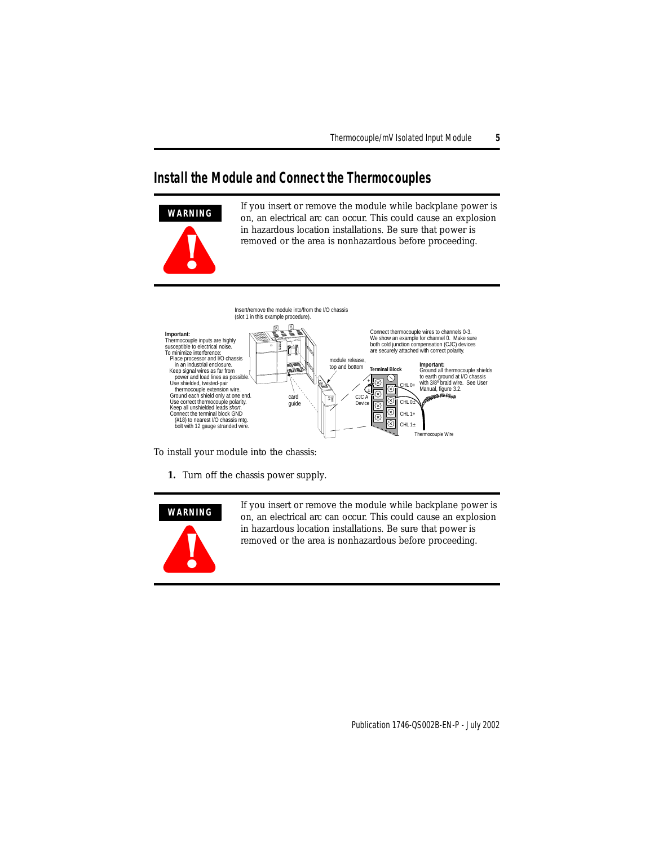### <span id="page-4-0"></span>**Install the Module and Connect the Thermocouples**



If you insert or remove the module while backplane power is on, an electrical arc can occur. This could cause an explosion in hazardous location installations. Be sure that power is removed or the area is nonhazardous before proceeding.



To install your module into the chassis:

**1.** Turn off the chassis power supply.



If you insert or remove the module while backplane power is on, an electrical arc can occur. This could cause an explosion in hazardous location installations. Be sure that power is removed or the area is nonhazardous before proceeding.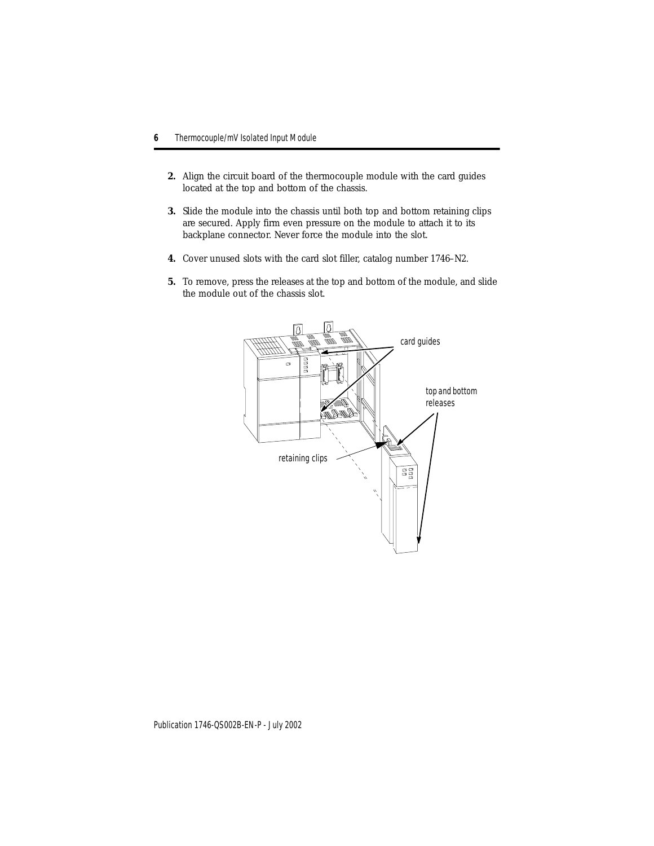- **2.** Align the circuit board of the thermocouple module with the card guides located at the top and bottom of the chassis.
- **3.** Slide the module into the chassis until both top and bottom retaining clips are secured. Apply firm even pressure on the module to attach it to its backplane connector. Never force the module into the slot.
- **4.** Cover unused slots with the card slot filler, catalog number 1746–N2.
- **5.** To remove, press the releases at the top and bottom of the module, and slide the module out of the chassis slot.

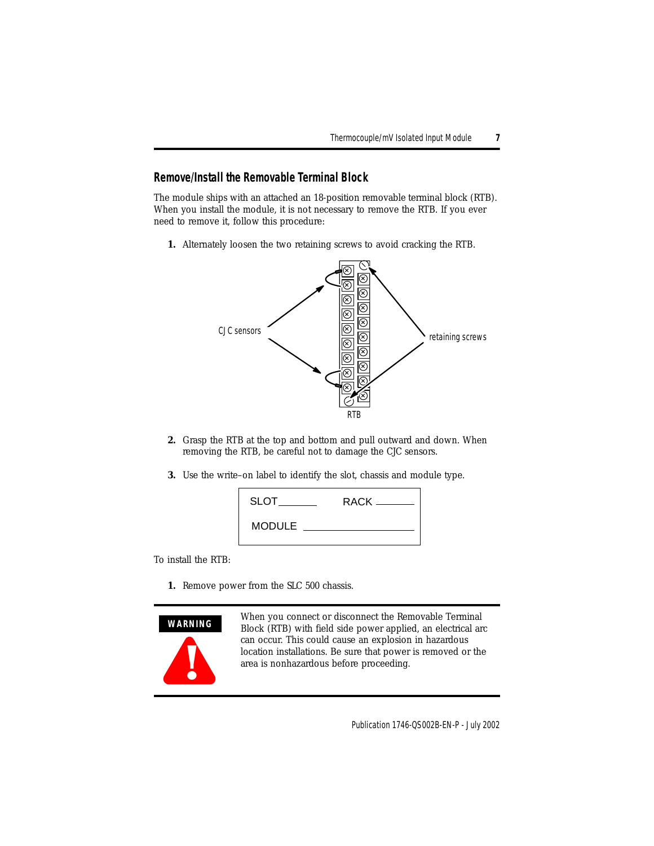#### **Remove/Install the Removable Terminal Block**

The module ships with an attached an 18-position removable terminal block (RTB). When you install the module, it is not necessary to remove the RTB. If you ever need to remove it, follow this procedure:

**1.** Alternately loosen the two retaining screws to avoid cracking the RTB.



- **2.** Grasp the RTB at the top and bottom and pull outward and down. When removing the RTB, be careful not to damage the CJC sensors.
- **3.** Use the write–on label to identify the slot, chassis and module type.

| <b>SLOT</b>   |  |
|---------------|--|
| <b>MODULE</b> |  |

To install the RTB:

**1.** Remove power from the SLC 500 chassis.

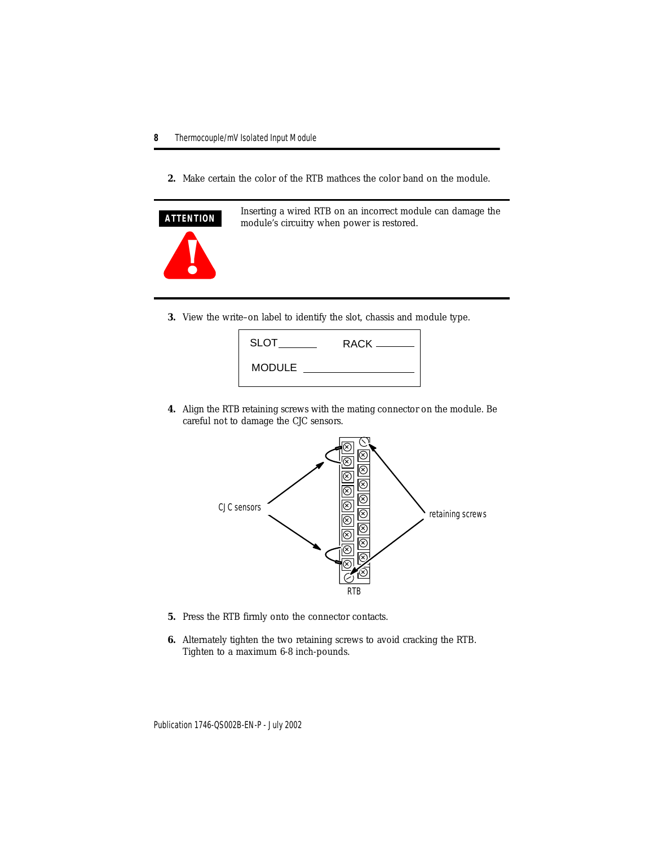**2.** Make certain the color of the RTB mathces the color band on the module.



Inserting a wired RTB on an incorrect module can damage the module's circuitry when power is restored.

**3.** View the write–on label to identify the slot, chassis and module type.



**4.** Align the RTB retaining screws with the mating connector on the module. Be careful not to damage the CJC sensors.



- **5.** Press the RTB firmly onto the connector contacts.
- **6.** Alternately tighten the two retaining screws to avoid cracking the RTB. Tighten to a maximum 6-8 inch-pounds.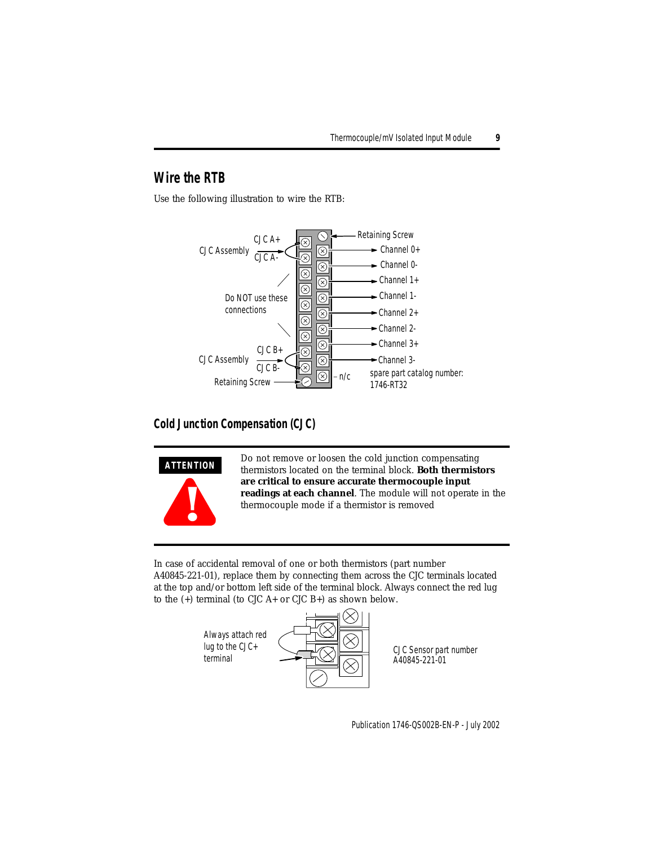## **Wire the RTB**

Use the following illustration to wire the RTB:



#### **Cold Junction Compensation (CJC)**



Do not remove or loosen the cold junction compensating thermistors located on the terminal block. **Both thermistors are critical to ensure accurate thermocouple input readings at each channel**. The module will not operate in the thermocouple mode if a thermistor is removed

In case of accidental removal of one or both thermistors (part number A40845-221-01), replace them by connecting them across the CJC terminals located at the top and/or bottom left side of the terminal block. Always connect the red lug to the  $(+)$  terminal (to CJC A+ or CJC B+) as shown below.

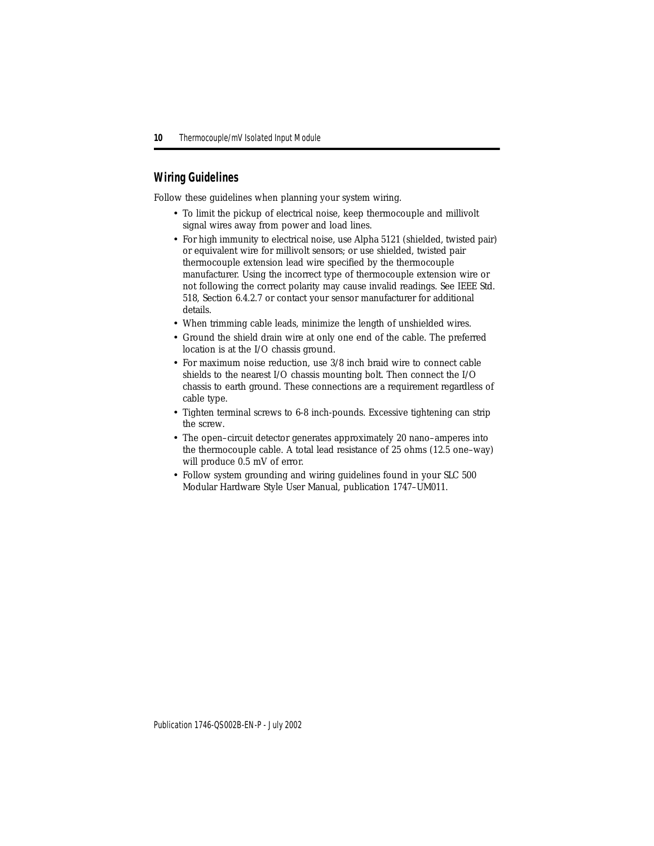#### **Wiring Guidelines**

Follow these guidelines when planning your system wiring.

- To limit the pickup of electrical noise, keep thermocouple and millivolt signal wires away from power and load lines.
- For high immunity to electrical noise, use Alpha 5121 (shielded, twisted pair) or equivalent wire for millivolt sensors; or use shielded, twisted pair thermocouple extension lead wire specified by the thermocouple manufacturer. Using the incorrect type of thermocouple extension wire or not following the correct polarity may cause invalid readings. See IEEE Std. 518, Section 6.4.2.7 or contact your sensor manufacturer for additional details.
- When trimming cable leads, minimize the length of unshielded wires.
- Ground the shield drain wire at only one end of the cable. The preferred location is at the I/O chassis ground.
- For maximum noise reduction, use 3/8 inch braid wire to connect cable shields to the nearest I/O chassis mounting bolt. Then connect the I/O chassis to earth ground. These connections are a requirement regardless of cable type.
- Tighten terminal screws to 6-8 inch-pounds. Excessive tightening can strip the screw.
- The open–circuit detector generates approximately 20 nano–amperes into the thermocouple cable. A total lead resistance of 25 ohms (12.5 one–way) will produce 0.5 mV of error.
- Follow system grounding and wiring guidelines found in your SLC 500 Modular Hardware Style User Manual, publication 1747–UM011.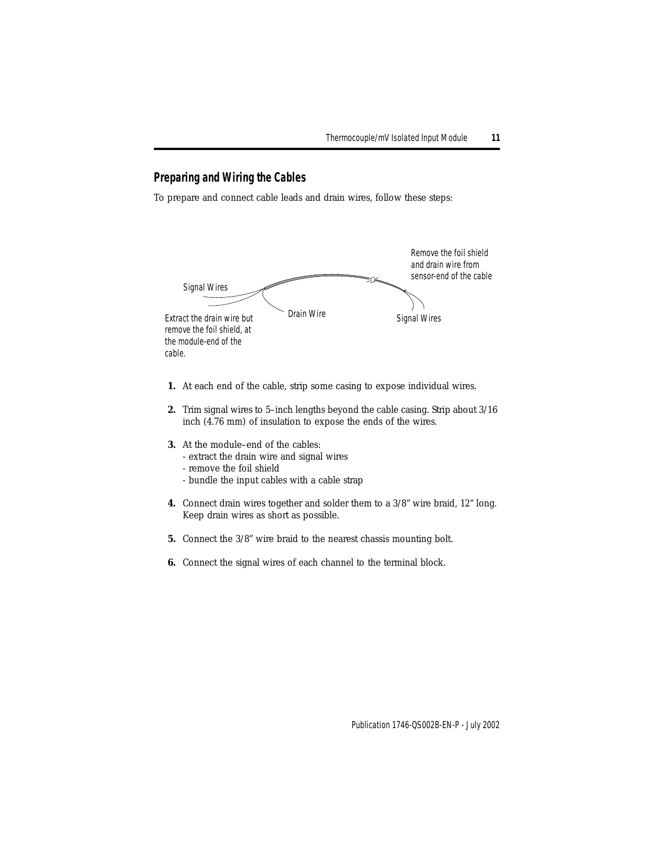#### **Preparing and Wiring the Cables**

To prepare and connect cable leads and drain wires, follow these steps:



- **1.** At each end of the cable, strip some casing to expose individual wires.
- **2.** Trim signal wires to 5–inch lengths beyond the cable casing. Strip about 3/16 inch (4.76 mm) of insulation to expose the ends of the wires.
- **3.** At the module–end of the cables:
	- extract the drain wire and signal wires
	- remove the foil shield
	- bundle the input cables with a cable strap
- **4.** Connect drain wires together and solder them to a 3/8" wire braid, 12" long. Keep drain wires as short as possible.
- **5.** Connect the 3/8" wire braid to the nearest chassis mounting bolt.
- **6.** Connect the signal wires of each channel to the terminal block.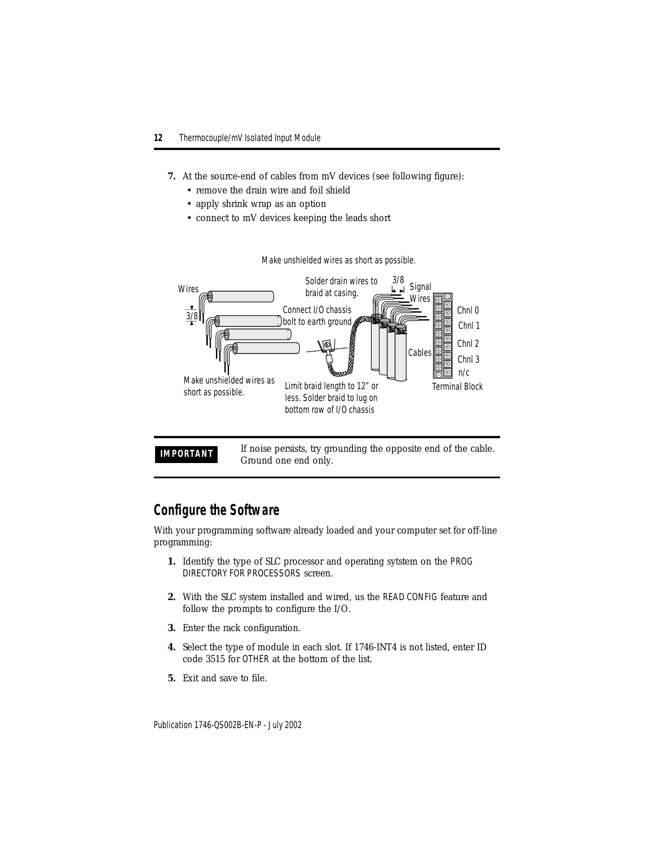- **7.** At the source-end of cables from mV devices (see following figure):
	- remove the drain wire and foil shield
	- apply shrink wrap as an option
	- connect to mV devices keeping the leads short



Make unshielded wires as short as possible.

**IMPORTANT** If noise persists, try grounding the opposite end of the cable. Ground one end only.

### <span id="page-11-0"></span>**Configure the Software**

With your programming software already loaded and your computer set for off-line programming:

- **1.** Identify the type of SLC processor and operating sytstem on the PROG DIRECTORY FOR PROCESSORS screen.
- **2.** With the SLC system installed and wired, us the READ CONFIG feature and follow the prompts to configure the I/O.
- **3.** Enter the rack configuration.
- **4.** Select the type of module in each slot. If 1746-INT4 is not listed, enter ID code 3515 for OTHER at the bottom of the list.
- **5.** Exit and save to file.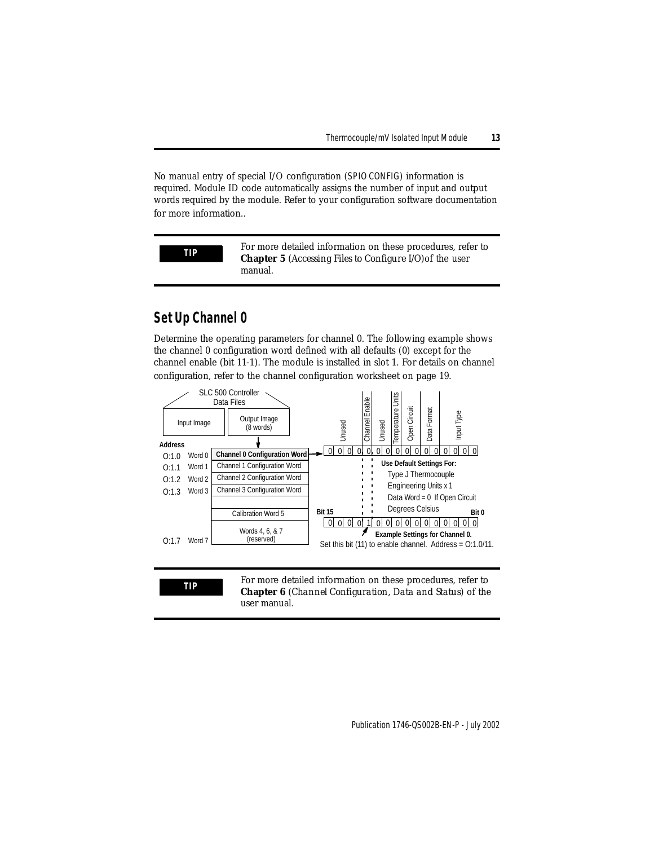No manual entry of special I/O configuration (SPIO CONFIG) information is required. Module ID code automatically assigns the number of input and output words required by the module. Refer to your configuration software documentation for more information..

**TIP** For more detailed information on these procedures, refer to **Chapter 5** (*Accessing Files to Configure I/O*)of the user manual.

## <span id="page-12-0"></span>**Set Up Channel 0**

Determine the operating parameters for channel 0. The following example shows the channel 0 configuration word defined with all defaults (0) except for the channel enable (bit 11-1). The module is installed in slot 1. For details on channel configuration, refer to the channel configuration worksheet on page [19](#page-18-0).



**TIP** For more detailed information on these procedures, refer to **Chapter 6** (*Channel Configuration, Data and Status*) of the user manual.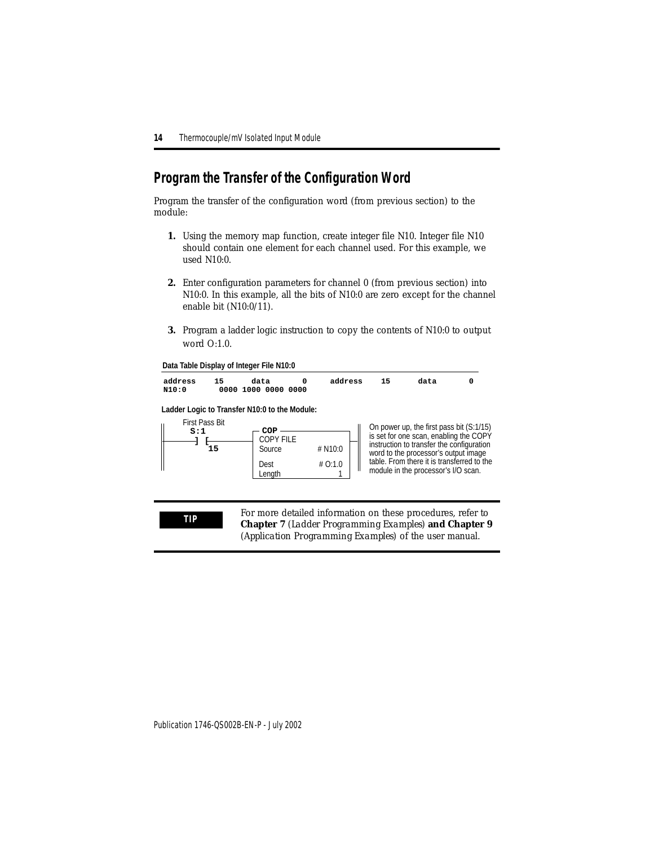## <span id="page-13-0"></span>**Program the Transfer of the Configuration Word**

Program the transfer of the configuration word (from previous section) to the module:

- **1.** Using the memory map function, create integer file N10. Integer file N10 should contain one element for each channel used. For this example, we used N10:0.
- **2.** Enter configuration parameters for channel 0 (from previous section) into N10:0. In this example, all the bits of N10:0 are zero except for the channel enable bit (N10:0/11).
- **3.** Program a ladder logic instruction to copy the contents of N10:0 to output word O:1.0.

**Data Table Display of Integer File N10:0**



**Ladder Logic to Transfer N10:0 to the Module:**



On power up, the first pass bit (S:1/15) is set for one scan, enabling the COPY instruction to transfer the configuration word to the processor's output image table. From there it is transferred to the module in the processor's I/O scan.

**TIP** For more detailed information on these procedures, refer to **Chapter 7** (*Ladder Programming Examples*) **and Chapter 9** (*Application Programming Examples*) of the user manual.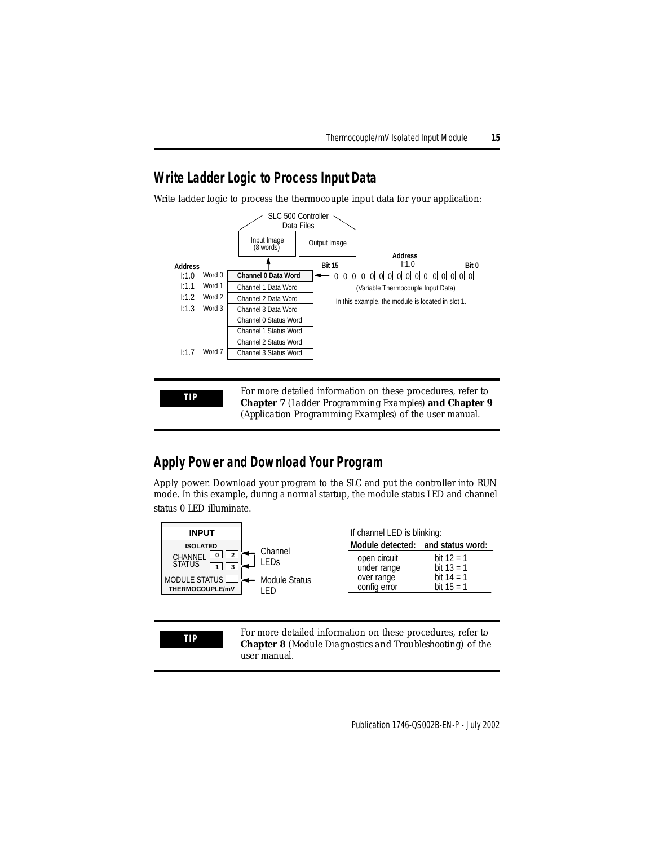## <span id="page-14-0"></span>**Write Ladder Logic to Process Input Data**

Write ladder logic to process the thermocouple input data for your application:



**TIP** For more detailed information on these procedures, refer to **Chapter 7** (*Ladder Programming Examples*) **and Chapter 9** (*Application Programming Examples*) of the user manual.

## <span id="page-14-1"></span>**Apply Power and Download Your Program**

Apply power. Download your program to the SLC and put the controller into RUN mode. In this example, during a normal startup, the module status LED and channel status 0 LED illuminate.



**TIP** For more detailed information on these procedures, refer to **Chapter 8** (*Module Diagnostics and Troubleshooting*) of the user manual.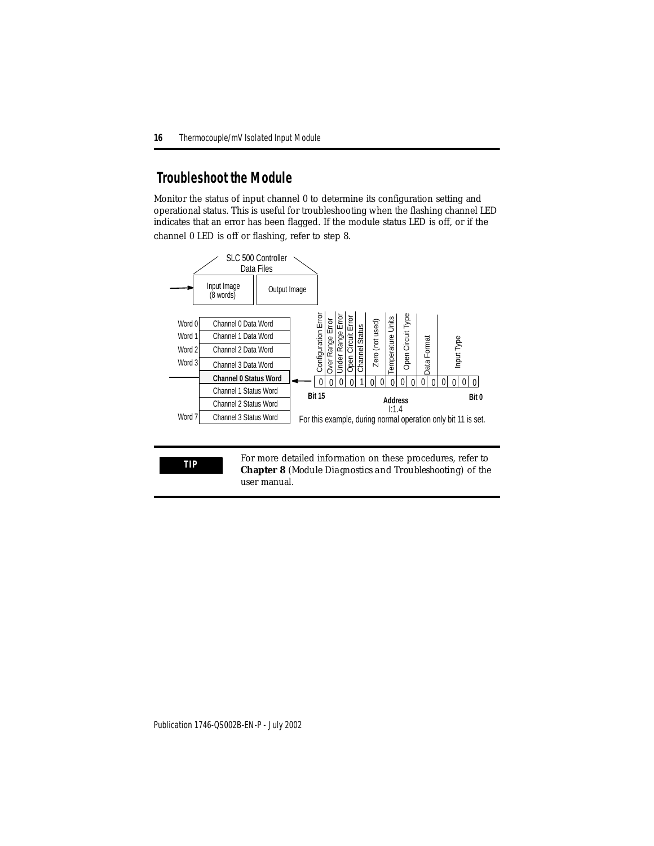## <span id="page-15-0"></span> **Troubleshoot the Module**

Monitor the status of input channel 0 to determine its configuration setting and operational status. This is useful for troubleshooting when the flashing channel LED indicates that an error has been flagged. If the module status LED is off, or if the channel 0 LED is off or flashing, refer to step 8.



**TIP** For more detailed information on these procedures, refer to **Chapter 8** (*Module Diagnostics and Troubleshooting*) of the user manual.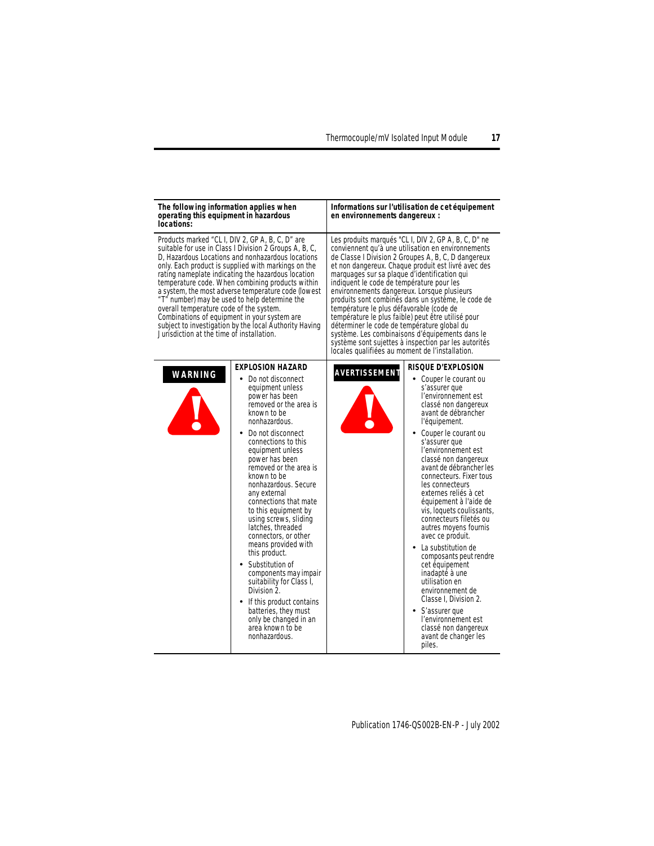| The following information applies when<br>operating this equipment in hazardous<br>locations:                                        |                                                                                                                                                                                                                                                                                                                                                                                                                                                                                                                                                                                                                                                                                              | Informations sur l'utilisation de cet équipement<br>en environnements dangereux :                                                                                                                                                                                                                                                                                                                                                                                                                                                                                                                                                                                                                                                        |                                                                                                                                                                                                                                                                                                                                                                                                                                                                                                                                                                                                                                                                                                                                                  |  |  |  |
|--------------------------------------------------------------------------------------------------------------------------------------|----------------------------------------------------------------------------------------------------------------------------------------------------------------------------------------------------------------------------------------------------------------------------------------------------------------------------------------------------------------------------------------------------------------------------------------------------------------------------------------------------------------------------------------------------------------------------------------------------------------------------------------------------------------------------------------------|------------------------------------------------------------------------------------------------------------------------------------------------------------------------------------------------------------------------------------------------------------------------------------------------------------------------------------------------------------------------------------------------------------------------------------------------------------------------------------------------------------------------------------------------------------------------------------------------------------------------------------------------------------------------------------------------------------------------------------------|--------------------------------------------------------------------------------------------------------------------------------------------------------------------------------------------------------------------------------------------------------------------------------------------------------------------------------------------------------------------------------------------------------------------------------------------------------------------------------------------------------------------------------------------------------------------------------------------------------------------------------------------------------------------------------------------------------------------------------------------------|--|--|--|
| overall temperature code of the system.<br>Combinations of equipment in your system are<br>Jurisdiction at the time of installation. | Products marked "CLI, DIV 2, GP A, B, C, D" are<br>suitable for use in Class I Division 2 Groups A, B, C,<br>D, Hazardous Locations and nonhazardous locations<br>only. Each product is supplied with markings on the<br>rating nameplate indicating the hazardous location<br>temperature code. When combining products within<br>a system, the most adverse temperature code (lowest<br>"T" number) may be used to help determine the<br>subject to investigation by the local Authority Having                                                                                                                                                                                            | Les produits marqués "CLI, DIV 2, GP A, B, C, D" ne<br>conviennent qu'à une utilisation en environnements<br>de Classe I Division 2 Groupes A, B, C, D dangereux<br>et non dangereux. Chaque produit est livré avec des<br>marquages sur sa plaque d'identification qui<br>indiquent le code de température pour les<br>environnements dangereux. Lorsque plusieurs<br>produits sont combinés dans un système, le code de<br>température le plus défavorable (code de<br>température le plus faible) peut être utilisé pour<br>déterminer le code de température global du<br>système. Les combinaisons d'équipements dans le<br>système sont sujettes à inspection par les autorités<br>locales qualifiées au moment de l'installation. |                                                                                                                                                                                                                                                                                                                                                                                                                                                                                                                                                                                                                                                                                                                                                  |  |  |  |
| <b>WARNING</b>                                                                                                                       | <b>EXPLOSION HAZARD</b><br>Do not disconnect<br>٠<br>equipment unless<br>power has been<br>removed or the area is<br>known to be<br>nonhazardous.<br>Do not disconnect<br>connections to this<br>equipment unless<br>power has been<br>removed or the area is<br>known to be<br>nonhazardous. Secure<br>any external<br>connections that mate<br>to this equipment by<br>using screws, sliding<br>latches, threaded<br>connectors, or other<br>means provided with<br>this product.<br>Substitution of<br>components may impair<br>suitability for Class I,<br>Division 2.<br>If this product contains<br>batteries, they must<br>only be changed in an<br>area known to be<br>nonhazardous. | AVERTISSEMENT                                                                                                                                                                                                                                                                                                                                                                                                                                                                                                                                                                                                                                                                                                                            | <b>RISQUE D'EXPLOSION</b><br>Couper le courant ou<br>٠<br>s'assurer que<br>l'environnement est<br>classé non dangereux<br>avant de débrancher<br>l'équipement.<br>• Couper le courant ou<br>s'assurer que<br>l'environnement est<br>classé non dangereux<br>avant de débrancher les<br>connecteurs. Fixer tous<br>les connecteurs<br>externes reliés à cet<br>équipement à l'aide de<br>vis, loquets coulissants,<br>connecteurs filetés ou<br>autres moyens fournis<br>avec ce produit.<br>La substitution de<br>composants peut rendre<br>cet équipement<br>inadapté à une<br>utilisation en<br>environnement de<br>Classe I, Division 2.<br>S'assurer que<br>$\bullet$<br>l'environnement est<br>classé non dangereux<br>avant de changer les |  |  |  |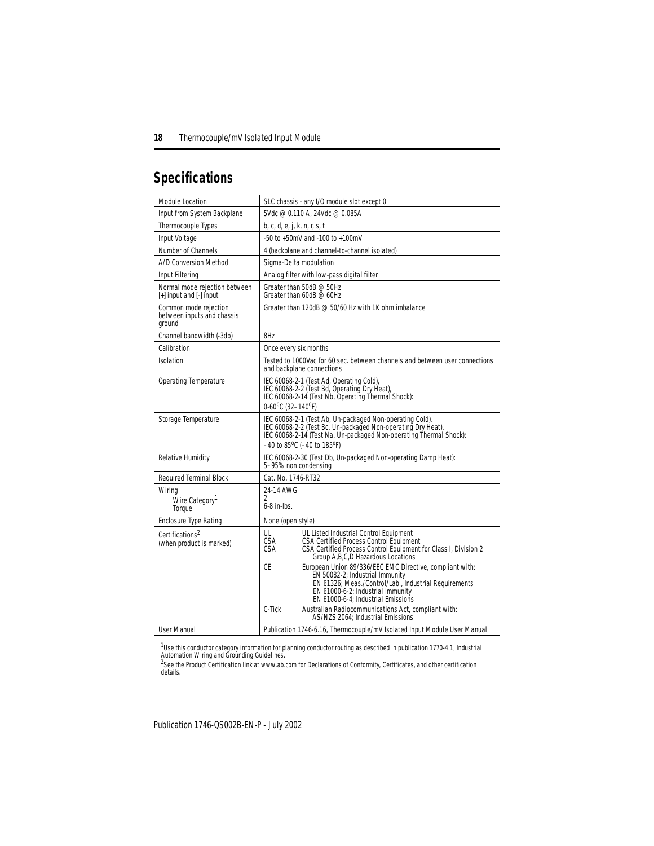## <span id="page-17-0"></span>**Specifications**

| Module Location                                               | SLC chassis - any I/O module slot except 0                                                                                                                                                                                               |  |  |  |  |  |  |  |
|---------------------------------------------------------------|------------------------------------------------------------------------------------------------------------------------------------------------------------------------------------------------------------------------------------------|--|--|--|--|--|--|--|
| Input from System Backplane                                   | 5Vdc @ 0.110 A. 24Vdc @ 0.085A                                                                                                                                                                                                           |  |  |  |  |  |  |  |
| Thermocouple Types                                            | b, c, d, e, j, k, n, r, s, t                                                                                                                                                                                                             |  |  |  |  |  |  |  |
| Input Voltage                                                 | -50 to +50mV and -100 to +100mV                                                                                                                                                                                                          |  |  |  |  |  |  |  |
| Number of Channels                                            | 4 (backplane and channel-to-channel isolated)                                                                                                                                                                                            |  |  |  |  |  |  |  |
| A/D Conversion Method                                         | Sigma-Delta modulation                                                                                                                                                                                                                   |  |  |  |  |  |  |  |
| Input Filtering                                               | Analog filter with low-pass digital filter                                                                                                                                                                                               |  |  |  |  |  |  |  |
| Normal mode rejection between<br>$[+]$ input and $[.]$ input  | Greater than 50dB @ 50Hz<br>Greater than 60dB @ 60Hz                                                                                                                                                                                     |  |  |  |  |  |  |  |
| Common mode rejection<br>between inputs and chassis<br>ground | Greater than 120dB $\otimes$ 50/60 Hz with 1K ohm imbalance                                                                                                                                                                              |  |  |  |  |  |  |  |
| Channel bandwidth (-3db)                                      | 8Hz                                                                                                                                                                                                                                      |  |  |  |  |  |  |  |
| Calibration                                                   | Once every six months                                                                                                                                                                                                                    |  |  |  |  |  |  |  |
| Isolation                                                     | Tested to 1000Vac for 60 sec. between channels and between user connections<br>and backplane connections                                                                                                                                 |  |  |  |  |  |  |  |
| Operating Temperature                                         | IEC 60068-2-1 (Test Ad, Operating Cold),<br>IEC 60068-2-2 (Test Bd, Operating Dry Heat),<br>IEC 60068-2-14 (Test Nb, Operating Thermal Shock):<br>0-60°C (32-140°F)                                                                      |  |  |  |  |  |  |  |
| Storage Temperature                                           | IEC 60068-2-1 (Test Ab, Un-packaged Non-operating Cold),<br>IEC 60068-2-2 (Test Bc, Un-packaged Non-operating Dry Heat),<br>IEC 60068-2-14 (Test Na, Un-packaged Non-operating Thermal Shock):<br>$-40$ to $85^{\circ}$ C (-40 to 185°F) |  |  |  |  |  |  |  |
| Relative Humidity                                             | IEC 60068-2-30 (Test Db, Un-packaged Non-operating Damp Heat):<br>5-95% non condensing                                                                                                                                                   |  |  |  |  |  |  |  |
| Required Terminal Block                                       | Cat. No. 1746-RT32                                                                                                                                                                                                                       |  |  |  |  |  |  |  |
| Wiring                                                        | 24-14 AWG                                                                                                                                                                                                                                |  |  |  |  |  |  |  |
| Wire Category <sup>1</sup><br>Torque                          | 2<br>$6-8$ in-lbs.                                                                                                                                                                                                                       |  |  |  |  |  |  |  |
| <b>Enclosure Type Rating</b>                                  | None (open style)                                                                                                                                                                                                                        |  |  |  |  |  |  |  |
| Certifications <sup>2</sup><br>(when product is marked)       | UL<br>UL Listed Industrial Control Equipment<br>CSA<br>CSA Certified Process Control Equipment<br>CSA<br>CSA Certified Process Control Equipment for Class I, Division 2<br>Group A, B, C, D Hazardous Locations                         |  |  |  |  |  |  |  |
|                                                               | СE<br>European Union 89/336/EEC EMC Directive, compliant with:<br>EN 50082-2; Industrial Immunity<br>EN 61326; Meas./Control/Lab., Industrial Requirements<br>EN 61000-6-2; Industrial Immunity<br>EN 61000-6-4; Industrial Emissions    |  |  |  |  |  |  |  |
|                                                               | C-Tick<br>Australian Radiocommunications Act, compliant with:<br>AS/NZS 2064: Industrial Emissions                                                                                                                                       |  |  |  |  |  |  |  |
| User Manual                                                   | Publication 1746-6.16, Thermocouple/mV Isolated Input Module User Manual                                                                                                                                                                 |  |  |  |  |  |  |  |

<sup>1</sup>Use this conductor category information for planning conductor routing as described in publication 1770-4.1, *Industrial*<br>Automation Wiring and Grounding Guidelines.

<sup>2</sup>See the Product Certification link at www.ab.com for Declarations of Conformity, Certificates, and other certification details.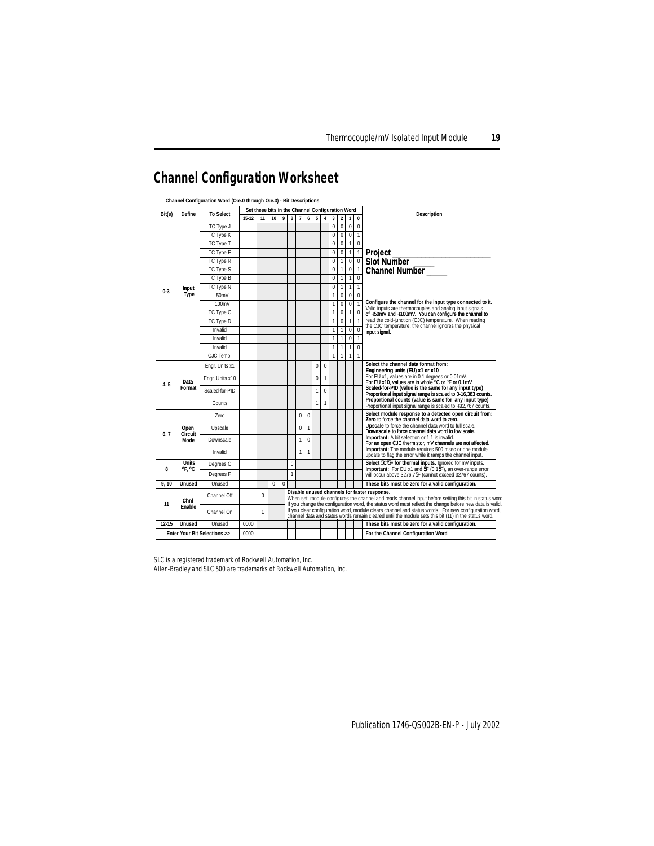## <span id="page-18-0"></span>**Channel Configuration Worksheet**

|                                           | Define                 | <b>To Select</b> | Set these bits in the Channel Configuration Word |              |          |          |                                                                                                                                                                                                                                                                    |                |              |                |                |                |                |              |                                                                                                         |                                                                                                                        |
|-------------------------------------------|------------------------|------------------|--------------------------------------------------|--------------|----------|----------|--------------------------------------------------------------------------------------------------------------------------------------------------------------------------------------------------------------------------------------------------------------------|----------------|--------------|----------------|----------------|----------------|----------------|--------------|---------------------------------------------------------------------------------------------------------|------------------------------------------------------------------------------------------------------------------------|
| Bit(s)                                    |                        |                  | $15-12$                                          | 11           | 10       | 9        | 8                                                                                                                                                                                                                                                                  | $\overline{1}$ | 6            | 5              | $\overline{4}$ | 3              | $\overline{2}$ | $\mathbf{1}$ | $\mathbf 0$                                                                                             | <b>Description</b>                                                                                                     |
|                                           |                        | TC Type J        |                                                  |              |          |          |                                                                                                                                                                                                                                                                    |                |              |                |                | $\overline{0}$ | $\overline{0}$ | $\mathbf 0$  | $\mathbf{0}$                                                                                            |                                                                                                                        |
|                                           | TC Type K              |                  |                                                  |              |          |          |                                                                                                                                                                                                                                                                    |                |              |                | $\overline{0}$ | $\Omega$       | $\mathbf 0$    | $\mathbf{1}$ |                                                                                                         |                                                                                                                        |
|                                           |                        | TC Type T        |                                                  |              |          |          |                                                                                                                                                                                                                                                                    |                |              |                |                | $\mathbf{0}$   | $\mathbf{0}$   | $\mathbf{1}$ | $\mathbf 0$                                                                                             |                                                                                                                        |
|                                           |                        | TC Type E        |                                                  |              |          |          |                                                                                                                                                                                                                                                                    |                |              |                |                | 0              | $\mathbf{0}$   | $\mathbf{1}$ | $\mathbf{1}$                                                                                            | <b>Project</b>                                                                                                         |
|                                           |                        | TC Type R        |                                                  |              |          |          |                                                                                                                                                                                                                                                                    |                |              |                |                | $\mathbf{0}$   | 1              | $\mathbf 0$  | $\overline{0}$                                                                                          | Slot Number                                                                                                            |
|                                           |                        | TC Type S        |                                                  |              |          |          |                                                                                                                                                                                                                                                                    |                |              |                |                | $\mathbf{0}$   | 1              | $\mathbf 0$  | $\mathbf{1}$                                                                                            | Channel Number                                                                                                         |
|                                           |                        | TC Type B        |                                                  |              |          |          |                                                                                                                                                                                                                                                                    |                |              |                |                | $\bf{0}$       | 1              | $\mathbf{1}$ | $\mathbf 0$                                                                                             |                                                                                                                        |
| $0 - 3$                                   | <b>Input</b>           | TC Type N        |                                                  |              |          |          |                                                                                                                                                                                                                                                                    |                |              |                |                | $\overline{0}$ | 1              | $\mathbf{1}$ | 1                                                                                                       |                                                                                                                        |
|                                           | Type                   | 50mV             |                                                  |              |          |          |                                                                                                                                                                                                                                                                    |                |              |                |                | 1              | $\Omega$       | $\mathbf 0$  | $\Omega$                                                                                                |                                                                                                                        |
|                                           |                        | 100mV            |                                                  |              |          |          |                                                                                                                                                                                                                                                                    |                |              |                |                | 1              | $\Omega$       | $\Omega$     | $\mathbf{1}$                                                                                            | Configure the channel for the input type connected to it.<br>Valid inputs are thermocouples and analog input signals   |
|                                           |                        | TC Type C        |                                                  |              |          |          |                                                                                                                                                                                                                                                                    |                |              |                |                | 1              | $\mathbf{0}$   | 1            | $\theta$                                                                                                | of +50mV and +100mV. You can configure the channel to                                                                  |
|                                           |                        | TC Type D        |                                                  |              |          |          |                                                                                                                                                                                                                                                                    |                |              |                |                | 1              | $\mathbf{0}$   | 1            | $\mathbf{1}$                                                                                            | read the cold-junction (CJC) temperature. When reading<br>the CJC temperature, the channel ignores the physical        |
|                                           |                        | Invalid          |                                                  |              |          |          |                                                                                                                                                                                                                                                                    |                |              |                |                | 1              | 1              | $\theta$     | $\mathbf 0$                                                                                             | input signal.                                                                                                          |
|                                           |                        | Invalid          |                                                  |              |          |          |                                                                                                                                                                                                                                                                    |                |              |                |                | 1              | 1              | $\theta$     | 1                                                                                                       |                                                                                                                        |
|                                           |                        | Invalid          |                                                  |              |          |          |                                                                                                                                                                                                                                                                    |                |              |                |                | 1              | 1              | $\mathbf{1}$ | $\mathbf 0$                                                                                             |                                                                                                                        |
|                                           |                        | CJC Temp.        |                                                  |              |          |          |                                                                                                                                                                                                                                                                    |                |              |                |                | $\mathbf{1}$   | 1              | 1            |                                                                                                         |                                                                                                                        |
|                                           |                        | Engr. Units x1   |                                                  |              |          |          |                                                                                                                                                                                                                                                                    |                |              | $\overline{0}$ | $\mathbf 0$    |                |                |              |                                                                                                         | Select the channel data format from:<br>Engineering units (EU) x1 or x10                                               |
|                                           | Data                   | Enar. Units x10  |                                                  |              |          |          |                                                                                                                                                                                                                                                                    |                |              | $\overline{0}$ | $\mathbf{1}$   |                |                |              |                                                                                                         | For EU x1, values are in 0.1 degrees or 0.01mV.<br>For EU x10, values are in whole °C or °F or 0.1mV.                  |
| 4.5                                       | Format                 | Scaled-for-PID   |                                                  |              |          |          |                                                                                                                                                                                                                                                                    |                |              | $\mathbf{1}$   | $\theta$       |                |                |              |                                                                                                         | Scaled-for-PID (value is the same for any input type)<br>Proportional input signal range is scaled to 0-16,383 counts. |
|                                           |                        | Counts           |                                                  |              |          |          |                                                                                                                                                                                                                                                                    |                |              | 1              | 1              |                |                |              |                                                                                                         | Proportional counts (value is same for any input type)<br>Proportional input signal range is scaled to +32,767 counts. |
|                                           | 7ero                   |                  |                                                  |              |          |          | $\bf{0}$                                                                                                                                                                                                                                                           | $\theta$       |              |                |                |                |                |              | Select module response to a detected open circuit from:<br>Zero to force the channel data word to zero. |                                                                                                                        |
| 6,7                                       | Open<br>Circuit        | Upscale          |                                                  |              |          |          |                                                                                                                                                                                                                                                                    | $\bf{0}$       | 1            |                |                |                |                |              |                                                                                                         | Upscale to force the channel data word to full scale.<br>Downscale to force channel data word to low scale.            |
|                                           | Mode                   | <b>Downscale</b> |                                                  |              |          |          |                                                                                                                                                                                                                                                                    | 1              | $\Omega$     |                |                |                |                |              |                                                                                                         | <b>Important:</b> A bit selection or 1 1 is invalid.<br>For an open CJC thermistor, mV channels are not affected.      |
|                                           |                        | Invalid          |                                                  |              |          |          |                                                                                                                                                                                                                                                                    | 1              | $\mathbf{1}$ |                |                |                |                |              |                                                                                                         | Important: The module requires 500 msec or one module<br>update to flag the error while it ramps the channel input.    |
| 8                                         | <b>Units</b><br>OF. OC | Degrees C        |                                                  |              |          |          | $\mathbf 0$                                                                                                                                                                                                                                                        |                |              |                |                |                |                |              |                                                                                                         | Select 5C/5F for thermal inputs. Ignored for mV inputs.<br>Important: For EU x1 and SF (0.1SF), an over-range error    |
|                                           |                        | Degrees F        |                                                  |              |          |          | 1                                                                                                                                                                                                                                                                  |                |              |                |                |                |                |              |                                                                                                         | will occur above 3276.75F (cannot exceed 32767 counts).                                                                |
| 9.10                                      | <b>Unused</b>          | Unused           |                                                  |              | $\Omega$ | $\bf{0}$ |                                                                                                                                                                                                                                                                    |                |              |                |                |                |                |              |                                                                                                         | These bits must be zero for a valid configuration.                                                                     |
| Chni<br>11                                |                        | Channel Off      |                                                  | $\Omega$     |          |          | Disable unused channels for faster response.<br>When set, module configures the channel and reads channel input before setting this bit in status word.<br>If you change the configuration word, the status word must reflect the change before new data is valid. |                |              |                |                |                |                |              |                                                                                                         |                                                                                                                        |
| Enable                                    |                        | Channel On       |                                                  | $\mathbf{1}$ |          |          | If you clear configuration word, module clears channel and status words. For new configuration word,<br>channel data and status words remain cleared until the module sets this bit (11) in the status word.                                                       |                |              |                |                |                |                |              |                                                                                                         |                                                                                                                        |
| $12 - 15$                                 | <b>Unused</b>          | Unused           | 0000                                             |              |          |          |                                                                                                                                                                                                                                                                    |                |              |                |                |                |                |              |                                                                                                         | These bits must be zero for a valid configuration.                                                                     |
| <b>Enter Your Bit Selections &gt;&gt;</b> |                        | 0000             |                                                  |              |          |          |                                                                                                                                                                                                                                                                    |                |              |                |                |                |                |              | For the Channel Configuration Word                                                                      |                                                                                                                        |

**Channel Configuration Word (O:e.0 through O:e.3) - Bit Descriptions**

SLC is a registered trademark of Rockwell Automation, Inc.

Allen-Bradley and SLC 500 are trademarks of Rockwell Automation, Inc.